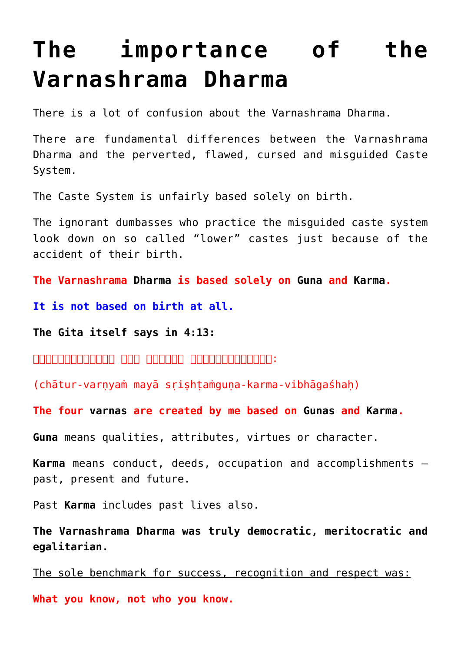# **[The importance of the](https://aryadharma.world/vedasandupanishads/the-importance-of-the-varnashrama-dharma/) [Varnashrama Dharma](https://aryadharma.world/vedasandupanishads/the-importance-of-the-varnashrama-dharma/)**

There is a lot of confusion about the Varnashrama [Dharma.](https://aryadharma.world/concepts/brahman/dharma/)

There are fundamental differences between the Varnashrama [Dharma](https://aryadharma.world/concepts/brahman/dharma/) and the perverted, flawed, cursed and misguided [Caste](https://en.wikipedia.org/wiki/Caste) [System](https://en.wikipedia.org/wiki/Caste).

The Caste System is unfairly based solely on birth.

The ignorant dumbasses who practice the misguided caste system look down on so called "lower" castes just because of the accident of their birth.

**The Varnashrama [Dharma](https://aryadharma.world/concepts/brahman/dharma/) is based solely on [Guna](https://en.wikipedia.org/wiki/Guṇa) and [Karma.](https://aryadharma.world/vedasandupanishads/karma-or-destiny/)** 

**It is not based on birth at all.**

**[The Gita](https://en.wikipedia.org/wiki/Bhagavad_Gita) itself [says in 4:13](https://www.bhagavad-gita.us/bhagavad-gita-4-13/):**

 $\Box$ angongongong ang anggong anggongongon:

(chātur-varṇyaṁ mayā sṛiṣhṭaṁguṇa-karma-vibhāgaśhaḥ)

**The four [varnas](https://en.wikipedia.org/wiki/Varna_(Hinduism)) are created by me based on [Gunas](https://en.wikipedia.org/wiki/Gu%E1%B9%87a) and [Karma.](https://aryadharma.world/vedasandupanishads/karma-or-destiny/)**

**[Guna](https://en.wikipedia.org/wiki/Guṇa)** means qualities, attributes, virtues or character.

**[Karma](https://aryadharma.world/vedasandupanishads/karma-or-destiny/)** means conduct, deeds, occupation and accomplishments – past, present and future.

Past **[Karma](https://aryadharma.world/vedasandupanishads/karma-or-destiny/)** includes past lives also.

**The Varnashrama [Dharma](https://aryadharma.world/concepts/brahman/dharma/) was truly democratic, meritocratic and egalitarian.**

The sole benchmark for success, recognition and respect was:

**What you know, not who you know.**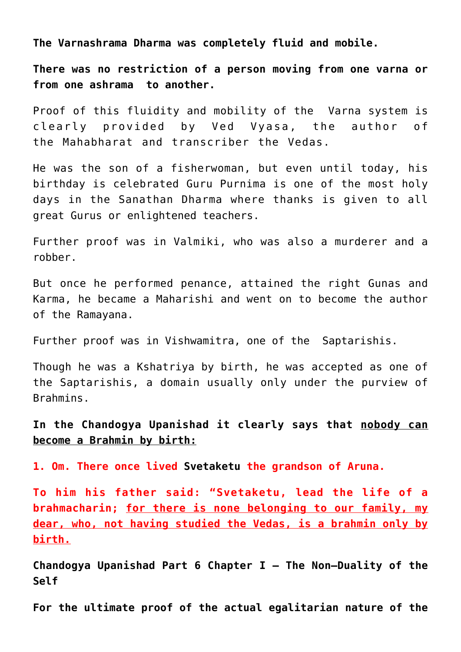**The Varnashrama [Dharma](https://aryadharma.world/concepts/brahman/dharma/) was completely fluid and mobile.**

**There was no restriction of a person moving from one varna or from one ashrama to another.**

Proof of this fluidity and mobility of the [Varna](https://en.wikipedia.org/wiki/Varna_(Hinduism)) system is clearly provided by [Ved Vyasa](http://en.wikipedia.org/wiki/Vyasa), the author of the [Mahabharat](http://en.wikipedia.org/wiki/Mahabharata) and transcriber the [Vedas.](http://en.wikipedia.org/wiki/Vedas)

He was the son of a fisherwoman, but even until today, his birthday is celebrated [Guru Purnima](http://en.wikipedia.org/wiki/Guru_Purnima) is one of the most holy days in the [Sanathan Dharma](https://aryadharma.world/concepts/brahman/vedasandupanishads/) where thanks is given to all great [Gurus](https://en.wikipedia.org/wiki/Guru) or enlightened teachers.

Further proof was in [Valmiki,](https://en.wikipedia.org/wiki/Valmiki) who was also a murderer and a robber.

But once he performed penance, attained the right Gunas and Karma, he became a [Maharishi](https://en.wikipedia.org/wiki/Maharishi) and went on to become the author of the [Ramayana](https://en.wikipedia.org/wiki/Ramayana).

Further proof was in [Vishwamitra,](https://en.wikipedia.org/wiki/Vishvamitra) one of the [Saptarishis.](https://en.wikipedia.org/wiki/Saptarishi)

Though he was a [Kshatriya](http://en.wikipedia.org/wiki/Kshatriya) by birth, he was accepted as one of the [Saptarishis](https://en.wikipedia.org/wiki/Saptarishi), a domain usually only under the purview of Brahmins.

**In the [Chandogya Upanishad](http://en.wikipedia.org/wiki/Chandogya_Upanishad) it clearly says that nobody can become a Brahmin by birth:**

**1. Om. There once lived [Svetaketu](https://en.wikipedia.org/wiki/Shvetaketu) the grandson of Aruna.**

**To him his father said: "Svetaketu, lead the life of a brahmacharin; for there is none belonging to our family, my dear, who, not having studied the Vedas, is a brahmin only by birth.**

**[Chandogya Upanishad Part 6 Chapter I — The Non—Duality of the](http://www.bharatadesam.com/spiritual/upanishads/chandogya_upanishad_2.php) [Self](http://www.bharatadesam.com/spiritual/upanishads/chandogya_upanishad_2.php)**

**For the ultimate proof of the actual egalitarian nature of the**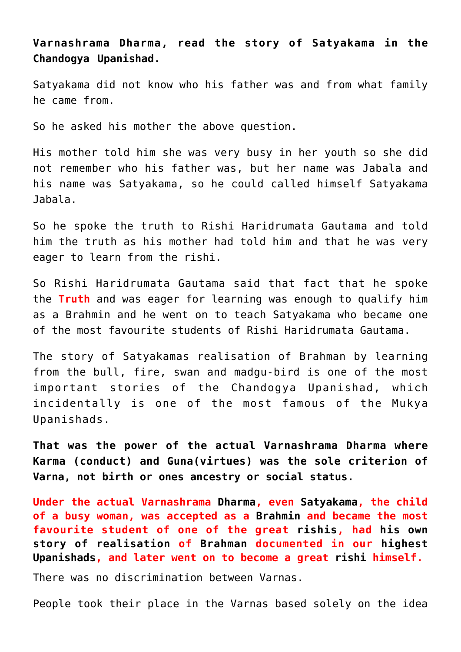**Varnashrama [Dharma,](https://aryadharma.world/concepts/brahman/dharma/) read the story of [Satyakama in the](http://www.sacred-texts.com/hin/brk/brk40.htm) [Chandogya Upanishad.](http://www.sacred-texts.com/hin/brk/brk40.htm)**

[Satyakama](http://en.wikipedia.org/wiki/Satyakama_Jabala) did not know who his father was and from what family he came from.

So he asked his mother the above question.

His mother told him she was very busy in her youth so she did not remember who his father was, but her name was Jabala and his name was Satyakama, so he could called himself Satyakama Jabala.

So he spoke the truth to [Rishi](https://en.wikipedia.org/wiki/Rishi) Haridrumata Gautama and told him the truth as his mother had told him and that he was very eager to learn from the [rishi](https://en.wikipedia.org/wiki/Rishi).

So [Rishi](https://en.wikipedia.org/wiki/Rishi) Haridrumata Gautama said that fact that he spoke the **Truth** and was eager for learning was enough to qualify him as a [Brahmin](https://en.wikipedia.org/wiki/Brahmin) and he went on to teach Satyakama who became one of the most favourite students of [Rishi](https://en.wikipedia.org/wiki/Rishi) Haridrumata Gautama.

The [story of Satyakamas realisation](http://www.sacred-texts.com/hin/brk/brk40.htm) of [Brahman](http://aryadharma.world/concepts/brahman/) by learning from the bull, fire, swan and madgu-bird is one of the most important stories of the [Chandogya Upanishad,](https://en.wikipedia.org/wiki/Ch%C4%81ndogya_Upani%E1%B9%A3ad) which incidentally is one of the most famous of the [Mukya](https://en.wikipedia.org/wiki/Mukhya_Upanishads) [Upanishads.](https://en.wikipedia.org/wiki/Mukhya_Upanishads)

**That was the power of the actual Varnashrama [Dharma](https://aryadharma.world/concepts/brahman/dharma/) where Karma (conduct) and Guna(virtues) was the sole criterion of Varna, not birth or ones ancestry or social status.**

**Under the actual Varnashrama [Dharma](https://aryadharma.world/concepts/brahman/dharma/), even [Satyakama](https://en.wikipedia.org/wiki/Satyakama_Jabala), the child of a busy woman, was accepted as a [Brahmin](https://en.wikipedia.org/wiki/Brahmin) and became the most favourite student of one of the great [rishis,](https://en.wikipedia.org/wiki/Rishi) had [his own](http://www.sacred-texts.com/hin/brk/brk40.htm) [story of realisation](http://www.sacred-texts.com/hin/brk/brk40.htm) of [Brahman](http://aryadharma.world/concepts/brahman/) documented in our [highest](https://en.wikipedia.org/wiki/Ch%C4%81ndogya_Upani%E1%B9%A3ad) [Upanishads,](https://en.wikipedia.org/wiki/Ch%C4%81ndogya_Upani%E1%B9%A3ad) and later went on to become a great [rishi](https://en.wikipedia.org/wiki/Rishi) himself.**

There was no discrimination between Varnas.

People took their place in the Varnas based solely on the idea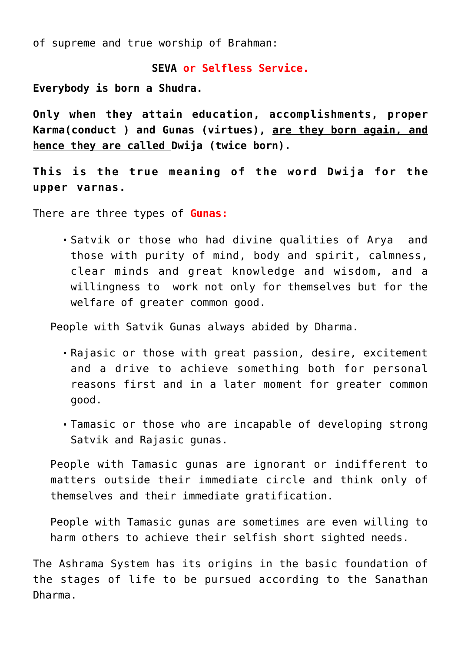of supreme and true worship of [Brahman](https://aryadharma.world/concepts/brahman/):

#### **[SEVA](https://en.wikipedia.org/wiki/Selfless_service) or Selfless Service.**

**Everybody is born a [Shudra.](https://en.wikipedia.org/wiki/Shudra)**

**Only when they attain education, accomplishments, proper Karma(conduct ) and [Gunas](http://en.wikipedia.org/wiki/Gu%E1%B9%87a) (virtues), are they born again, and hence they are called [Dwija \(twice born\).](https://en.wikipedia.org/wiki/Dvija)**

**This is the true meaning of the word [Dwija](https://en.wikipedia.org/wiki/Dvija) for the upper [varnas](https://en.wikipedia.org/wiki/Varna_(Hinduism)).**

There are three types of **[Gunas](http://en.wikipedia.org/wiki/Gu%E1%B9%87a):**

[Satvik](http://en.wikipedia.org/wiki/Sattva) or those who had divine qualities of [Arya](https://aryadharma.world/whoisanarya/) and those with purity of mind, body and spirit, calmness, clear minds and great knowledge and wisdom, and a willingness to work not only for themselves but for the welfare of greater common good.

People with Satvik Gunas always abided by [Dharma](https://aryadharma.world/dharma/).

- [Rajasic](http://en.wikipedia.org/wiki/Rajas) or those with great passion, desire, excitement and a drive to achieve something both for personal reasons first and in a later moment for greater common good.
- [Tamasic](http://en.wikipedia.org/wiki/Tamas_(philosophy)) or those who are incapable of developing strong [Satvik](http://en.wikipedia.org/wiki/Sattva) and [Rajasic](http://en.wikipedia.org/wiki/Rajas) gunas.

People with [Tamasic](http://en.wikipedia.org/wiki/Tamas_(philosophy)) gunas are ignorant or indifferent to matters outside their immediate circle and think only of themselves and their immediate gratification.

People with [Tamasic](http://en.wikipedia.org/wiki/Tamas_(philosophy)) gunas are sometimes are even willing to harm others to achieve their selfish short sighted needs.

The Ashrama System has its origins in the basic foundation of the stages of life to be pursued according to the [Sanathan](https://aryadharma.world/vedasandupanishads/) [Dharma](https://aryadharma.world/vedasandupanishads/).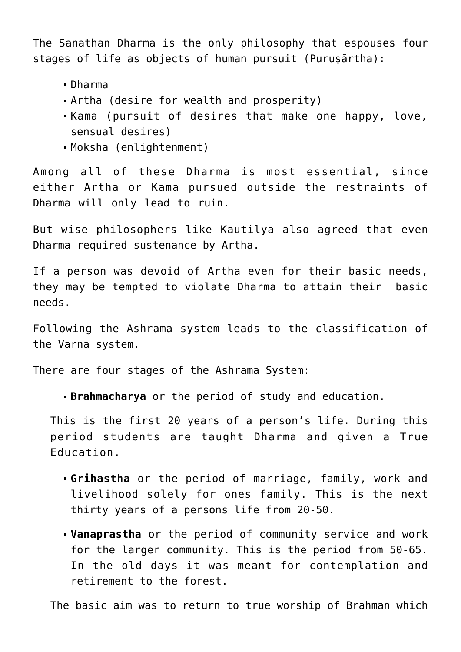The [Sanathan Dharma](https://aryadharma.world/vedasandupanishads/) is the only philosophy that espouses four stages of life as objects of human pursuit (Purusārtha):

- [Dharma](https://aryadharma.world/brahman/dharma/)
- [Artha](https://en.wikipedia.org/wiki/Artha) (desire for wealth and prosperity)
- [Kama](https://en.wikipedia.org/wiki/Kama) (pursuit of desires that make one happy, love, sensual desires)
- [Moksha](https://en.wikipedia.org/wiki/Moksha) (enlightenment)

Among all of these [Dharma](https://aryadharma.world/brahman/dharma/) is most essential, since either [Artha](https://en.wikipedia.org/wiki/Artha) or [Kama](https://en.wikipedia.org/wiki/Kama) pursued outside the restraints of [Dharma](https://aryadharma.world/brahman/dharma/) will only lead to ruin.

But wise philosophers like [Kautilya](https://aryadharma.world/bharat/kautilya/) also agreed that even [Dharma](https://aryadharma.world/brahman/dharma/) required sustenance by [Artha.](https://en.wikipedia.org/wiki/Artha)

If a person was devoid of [Artha](https://en.wikipedia.org/wiki/Artha) even for their basic needs, they may be tempted to violate [Dharma](https://aryadharma.world/brahman/dharma/) to attain their basic needs.

Following the Ashrama system leads to the classification of the Varna system.

#### There are four stages of the Ashrama System:

**Brahmacharya** or the period of study and education.

This is the first 20 years of a person's life. During this period students are taught [Dharma](https://aryadharma.world/concepts/brahman/dharma/) and given a [True](https://aryadharma.world/articles/education/) [Education](https://aryadharma.world/articles/education/).

- **Grihastha** or the period of marriage, family, work and livelihood solely for ones family. This is the next thirty years of a persons life from 20-50.
- **Vanaprastha** or the period of community service and work for the larger community. This is the period from 50-65. In the old days it was meant for contemplation and retirement to the forest.

The basic aim was to return to true worship of [Brahman](https://aryadharma.world/concepts/brahman/) which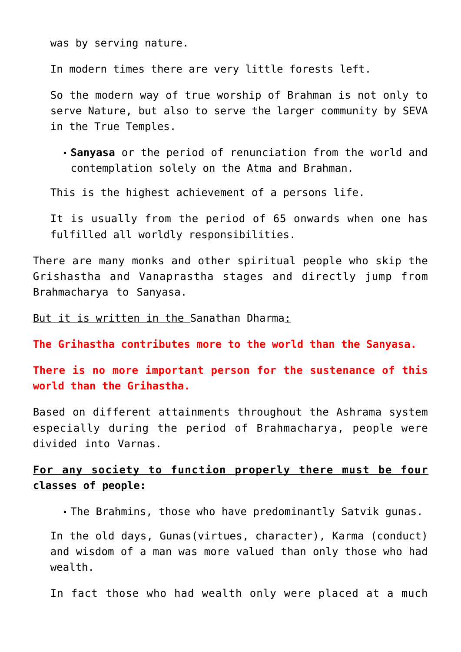was by serving nature.

In modern times there are very little forests left.

So the modern way of true worship of Brahman is not only to serve [Nature,](https://aryadharma.world/articles/nature/) but also to serve the larger community by [SEVA](https://en.wikipedia.org/wiki/Selfless_service) in the [True Temples](https://aryadharma.world/concepts/truetemples/).

**Sanyasa** or the period of renunciation from the world and contemplation solely on the [Atma](https://en.wikipedia.org/wiki/Ātman_(Hinduism)) and [Brahman.](https://aryadharma.world/concepts/brahman/)

This is the highest achievement of a persons life.

It is usually from the period of 65 onwards when one has fulfilled all worldly responsibilities.

There are many monks and other spiritual people who skip the Grishastha and Vanaprastha stages and directly jump from Brahmacharya to Sanyasa.

But it is written in the [Sanathan Dharma:](https://aryadharma.world/concepts/brahman/vedasandupanishads/)

**The Grihastha contributes more to the world than the Sanyasa.**

**There is no more important person for the sustenance of this world than the Grihastha.**

Based on different attainments throughout the Ashrama system especially during the period of Brahmacharya, people were divided into Varnas.

## **For any society to function properly there must be four classes of people:**

The [Brahmins,](http://en.wikipedia.org/wiki/Brahmin) those who have predominantly [Satvik](http://en.wikipedia.org/wiki/Sattva) [gunas](http://en.wikipedia.org/wiki/Gu%E1%B9%87a).

In the old days, Gunas(virtues, character), Karma (conduct) and wisdom of a man was more valued than only those who had wealth.

In fact those who had wealth only were placed at a much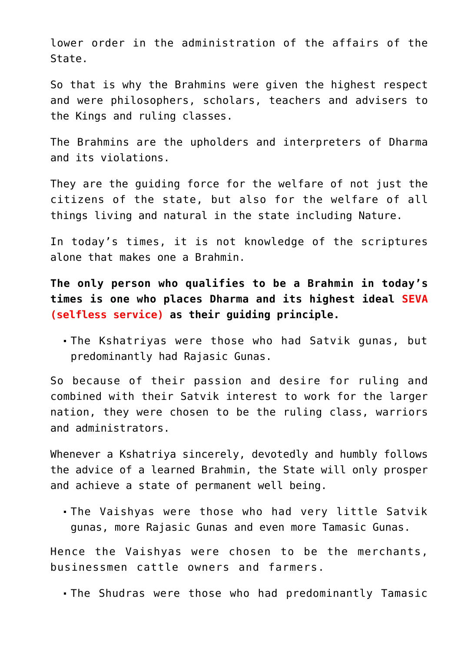lower order in the administration of the affairs of the State.

So that is why the Brahmins were given the highest respect and were philosophers, scholars, teachers and advisers to the Kings and ruling classes.

The [Brahmins](http://en.wikipedia.org/wiki/Brahmin) are the upholders and interpreters of [Dharma](https://aryadharma.world/dharma/) and its violations.

They are the quiding force for the welfare of not just the citizens of the state, but also for the welfare of all things living and natural in the state including [Nature](https://aryadharma.world/articles/nature/).

In today's times, it is not knowledge of the scriptures alone that makes one a Brahmin.

**The only person who qualifies to be a Brahmin in today's times is one who places [Dharma](https://aryadharma.world/dharma/) and its highest ideal SEVA (selfless service) as their guiding principle.**

The [Kshatriyas](http://en.wikipedia.org/wiki/Kshatriya) were those who had [Satvik](http://en.wikipedia.org/wiki/Sattva) [gunas](http://en.wikipedia.org/wiki/Gu%E1%B9%87a), but predominantly had [Rajasic G](http://en.wikipedia.org/wiki/Rajas)unas.

So because of their passion and desire for ruling and combined with their Satvik interest to work for the larger nation, they were chosen to be the ruling class, warriors and administrators.

Whenever a [Kshatriya](http://en.wikipedia.org/wiki/Kshatriya) sincerely, devotedly and humbly follows the advice of a learned Brahmin, the State will only prosper and achieve a state of permanent well being.

The [Vaishyas](http://en.wikipedia.org/wiki/Vaishya) were those who had very little Satvik gunas, more Rajasic Gunas and even more [Tamasic](http://en.wikipedia.org/wiki/Tamas_(philosophy)) Gunas.

Hence the Vaishyas were chosen to be the merchants, businessmen cattle owners and farmers.

The [Shudras](http://en.wikipedia.org/wiki/Shudra) were those who had predominantly [Tamasic](http://en.wikipedia.org/wiki/Tamas_(philosophy))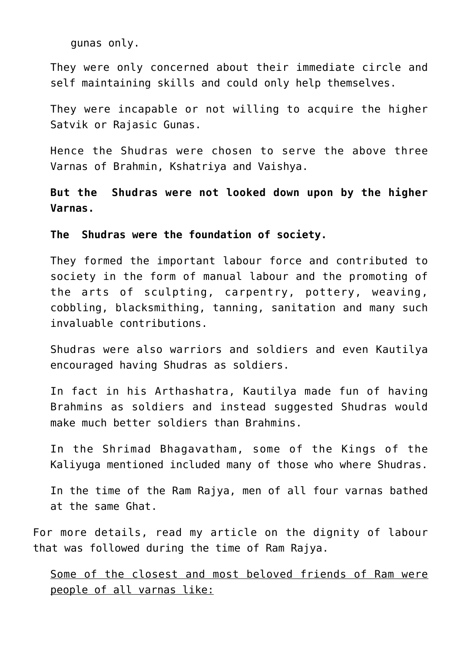gunas only.

They were only concerned about their immediate circle and self maintaining skills and could only help themselves.

They were incapable or not willing to acquire the higher Satvik or Rajasic Gunas.

Hence the Shudras were chosen to serve the above three Varnas of Brahmin, Kshatriya and Vaishya.

**But the [Shudras](http://en.wikipedia.org/wiki/Shudra) were not looked down upon by the higher Varnas.**

**The [Shudras](http://en.wikipedia.org/wiki/Shudra) were the foundation of society.**

They formed the important labour force and contributed to society in the form of manual labour and the promoting of the arts of sculpting, carpentry, pottery, weaving, cobbling, blacksmithing, tanning, sanitation and many such invaluable contributions.

Shudras were also warriors and soldiers and even [Kautilya](https://aryadharma.world/bharat/kautilya/) encouraged having Shudras as soldiers.

In fact in his [Arthashatra,](https://en.wikipedia.org/wiki/Arthashastra) [Kautilya](https://aryadharma.world/bharat/kautilya/) made fun of having Brahmins as soldiers and instead suggested Shudras would make much better soldiers than Brahmins.

In the [Shrimad Bhagavatham](https://en.wikipedia.org/wiki/Bhagavata_Purana), some of the [Kings of the](http://gitabase.com/eng/SB/12/1) [Kaliyuga](http://gitabase.com/eng/SB/12/1) mentioned included many of those who where Shudras.

In the time of the [Ram Rajya,](https://aryadharma.world/concepts/brahman/ram-rajya-the-heavenly-rule-of-ram/) men of all four varnas bathed at the same [Ghat](https://en.wikipedia.org/wiki/Ghat).

For more details, read my article on the [dignity of labour](https://aryadharma.world/vedasandupanishads/the-importance-of-the-varnashrama-dharma/dignity-of-labour/) that was followed during the time of [Ram Rajya](https://aryadharma.world/concepts/brahman/ram-rajya-the-heavenly-rule-of-ram/).

Some of the closest and most beloved friends of Ram were people of all varnas like: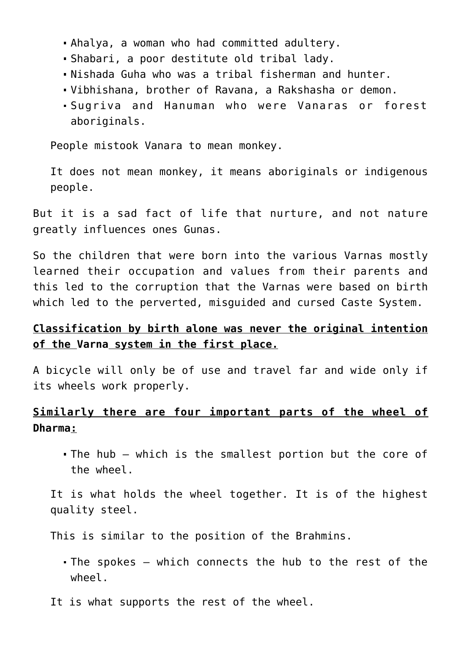- [Ahalya](https://en.wikipedia.org/wiki/Ahalya), a woman who had committed adultery.
- [Shabari](https://en.wikipedia.org/wiki/Shabari), a poor destitute old tribal lady.
- [Nishada Guha](https://en.wikipedia.org/wiki/Nishada_Kingdom#Description_in_Ramayana) who was a tribal fisherman and hunter.
- [Vibhishana,](https://en.wikipedia.org/wiki/Vibhishana) brother of [Ravana,](https://en.wikipedia.org/wiki/Ravana) a [Rakshasha](https://en.wikipedia.org/wiki/Rakshasa) or demon.
- [Sugriva](https://en.wikipedia.org/wiki/Sugriva) and [Hanuman](https://en.wikipedia.org/wiki/Hanuman) who were [Vanaras](https://en.wikipedia.org/wiki/Vanara) or forest aboriginals.

People mistook Vanara to mean monkey.

It does not mean monkey, it means [aboriginals or indigenous](https://en.wikipedia.org/wiki/List_of_indigenous_peoples#South_Asia) [people.](https://en.wikipedia.org/wiki/List_of_indigenous_peoples#South_Asia)

But it is a sad fact of life that nurture, and not nature greatly influences ones [Gunas](http://en.wikipedia.org/wiki/Gu%E1%B9%87a).

So the children that were born into the various [Varnas](http://en.wikipedia.org/wiki/Varna_(Hinduism)) mostly learned their occupation and values from their parents and this led to the corruption that the [Varnas](http://en.wikipedia.org/wiki/Varna_(Hinduism)) were based on birth which led to the perverted, misguided and cursed Caste System.

## **Classification by birth alone was never the original intention of the [Varna](http://en.wikipedia.org/wiki/Varna_(Hinduism)) system in the first place.**

A bicycle will only be of use and travel far and wide only if its wheels work properly.

## **Similarly there are four important parts of the wheel of [Dharma](https://aryadharma.world/concepts/brahman/dharma/):**

[The hub](https://en.wikipedia.org/wiki/Hub) – which is the smallest portion but the core of the wheel.

It is what holds the wheel together. It is of the highest quality steel.

This is similar to the position of the [Brahmins.](http://en.wikipedia.org/wiki/Brahmin)

- [The spokes](https://en.wikipedia.org/wiki/Spoke) which connects the hub to the rest of the wheel.
- It is what supports the rest of the wheel.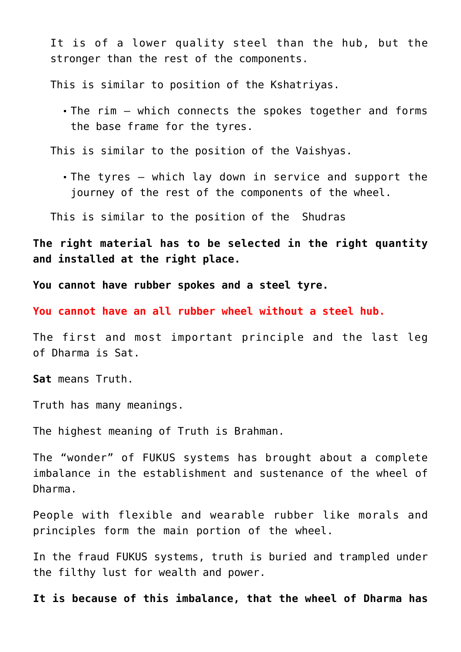It is of a lower quality steel than the hub, but the stronger than the rest of the components.

This is similar to position of the [Kshatriyas.](http://en.wikipedia.org/wiki/Kshatriya)

[The rim](https://en.wikipedia.org/wiki/Rim_(wheel)) – which connects the spokes together and forms the base frame for the tyres.

This is similar to the position of the [Vaishyas.](http://en.wikipedia.org/wiki/Vaishya)

[The tyres](https://en.wikipedia.org/wiki/Tire) – which lay down in service and support the journey of the rest of the components of the wheel.

This is similar to the position of the [Shudras](http://en.wikipedia.org/wiki/Shudra)

**The right material has to be selected in the right quantity and installed at the right place.**

**You cannot have rubber spokes and a steel tyre.** 

**You cannot have an all rubber wheel without a steel hub.**

The first and most important principle and the last leg of [Dharma](https://aryadharma.world/concepts/brahman/dharma/) is [Sat.](https://en.wikipedia.org/wiki/Sat_(Sanskrit))

**[Sat](https://en.wikipedia.org/wiki/Sat_(Sanskrit))** means [Truth](https://aryadharma.world/concepts/brahman/).

Truth has many meanings.

The highest meaning of Truth is [Brahman](http://aryadharma.world/concepts/brahman/).

The "wonder" of [FUKUS](https://aryadharma.world/fukus/) systems has brought about a complete imbalance in the establishment and sustenance of the wheel of [Dharma](https://aryadharma.world/concepts/brahman/dharma/).

People with flexible and wearable rubber like morals and principles form the main portion of the wheel.

In the fraud [FUKUS](https://aryadharma.world/fukus/) systems, truth is buried and trampled under the filthy lust for [wealth](http://aryadharma.world/fukus/fukus-capitalism/) and [power](http://aryadharma.world/fukus/repsofpeople/).

**It is because of this imbalance, that the wheel of [Dharma](https://aryadharma.world/concepts/brahman/dharma/) has**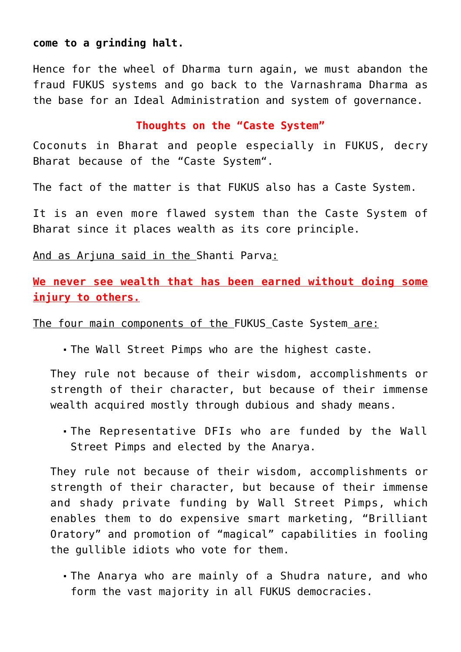#### **come to a grinding halt.**

Hence for the wheel of [Dharma](https://aryadharma.world/concepts/brahman/dharma/) turn again, we must abandon the fraud [FUKUS](https://aryadharma.world/fukus/) systems and go back to the Varnashrama [Dharma](https://aryadharma.world/concepts/brahman/dharma/) as the base for an [Ideal Administration](https://aryadharma.world/concepts/thestate/administrators/the-ideal-team-of-administrators-for-bharat/) and system of governance.

### **Thoughts on the "Caste System"**

[Coconuts](https://aryadharma.world/bharat/coconut/) in [Bharat](https://aryadharma.world/bharat/) and people especially in [FUKUS,](https://aryadharma.world/fukus/) decry [Bharat](https://aryadharma.world/bharat/) because of the ["Caste System"](https://en.wikipedia.org/wiki/Caste).

The fact of the matter is that [FUKUS](https://aryadharma.world/fukus/) also has a [Caste System](https://en.wikipedia.org/wiki/Caste).

It is an even more flawed system than the Caste System of Bharat since it places wealth as its core principle.

And as Arjuna said in the [Shanti Parva](https://aryadharma.world/bharat/shantiparva/):

**We never see wealth that has been earned without doing some injury to others.**

The four main components of the [FUKUS](https://aryadharma.world/fukus/) [Caste System](https://en.wikipedia.org/wiki/Caste) are:

The [Wall Street Pimps](https://aryadharma.world/fukus/wallstreetpimps/) who are the highest caste.

They rule not because of their wisdom, accomplishments or strength of their character, but because of their immense wealth acquired mostly through dubious and shady means.

The [Representative DFIs](https://aryadharma.world/fukus/repsofpeople/) who are funded by the [Wall](https://aryadharma.world/fukus/wallstreetpimps/) [Street Pimps](https://aryadharma.world/fukus/wallstreetpimps/) and elected by the [Anarya](https://aryadharma.world/concepts/whoisafool/).

They rule not because of their wisdom, accomplishments or strength of their character, but because of their immense and shady private funding by Wall Street Pimps, which enables them to do expensive smart marketing, ["Brilliant](https://aryadharma.world/articles/figured_out/) [Oratory"](https://aryadharma.world/articles/figured_out/) and promotion of "magical" capabilities in fooling the gullible idiots who vote for them.

The [Anarya](https://aryadharma.world/concepts/whoisafool/) who are mainly of a Shudra nature, and who form the vast majority in all [FUKUS](https://aryadharma.world/fukus/) democracies.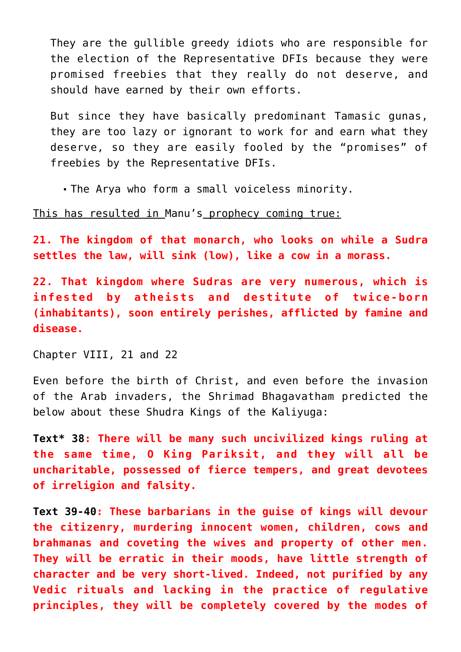They are the gullible greedy idiots who are responsible for the election of the [Representative DFIs](https://aryadharma.world/fukus/repsofpeople/) because they were promised freebies that they really do not deserve, and should have earned by their own efforts.

But since they have basically predominant [Tamasic](http://en.wikipedia.org/wiki/Tamas_(philosophy)) gunas, they are too lazy or ignorant to work for and earn what they deserve, so they are easily fooled by the "promises" of freebies by the [Representative DFIs](https://aryadharma.world/fukus/repsofpeople/).

The [Arya](https://aryadharma.world/concepts/whoisanarya/) who form a small voiceless minority.

This has resulted in [Manu's](https://aryadharma.world/bharat/manu/) prophecy coming true:

**21. The kingdom of that monarch, who looks on while a Sudra settles the law, will sink (low), like a cow in a morass.**

**22. That kingdom where Sudras are very numerous, which is infested by atheists and destitute of twice-born (inhabitants), soon entirely perishes, afflicted by famine and disease.**

[Chapter VIII, 21 and 22](http://www.sacred-texts.com/hin/manu/manu08.htm)

Even before the birth of Christ, and even before the invasion of the Arab invaders, the [Shrimad Bhagavatham](https://en.wikipedia.org/wiki/Bhagavata_Purana) predicted the below about these Shudra [Kings of the Kaliyuga:](http://gitabase.com/eng/SB/12/1)

**[Text\\* 38](http://gitabase.com/eng/SB/12/1/38): There will be many such uncivilized kings ruling at the same time, O King Pariksit, and they will all be uncharitable, possessed of fierce tempers, and great devotees of irreligion and falsity.**

**[Text 39-40:](http://gitabase.com/eng/SB/12/1/39-40) These barbarians in the guise of kings will devour the citizenry, murdering innocent women, children, cows and brahmanas and coveting the wives and property of other men. They will be erratic in their moods, have little strength of character and be very short-lived. Indeed, not purified by any Vedic rituals and lacking in the practice of regulative principles, they will be completely covered by the modes of**